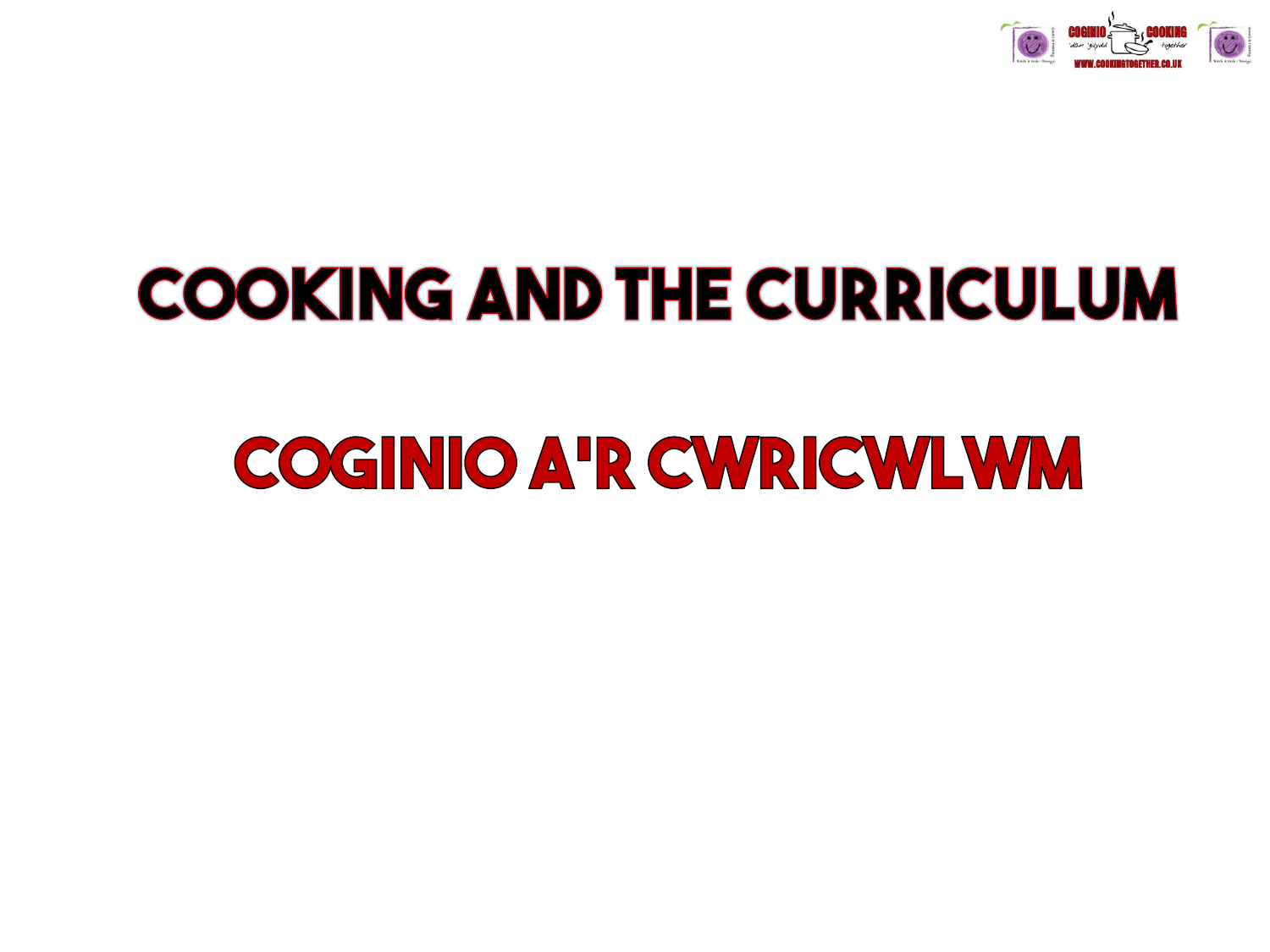

# **COOKING AND THE CURRICULUM**

# **COGINIO A'R CWRICWLWM**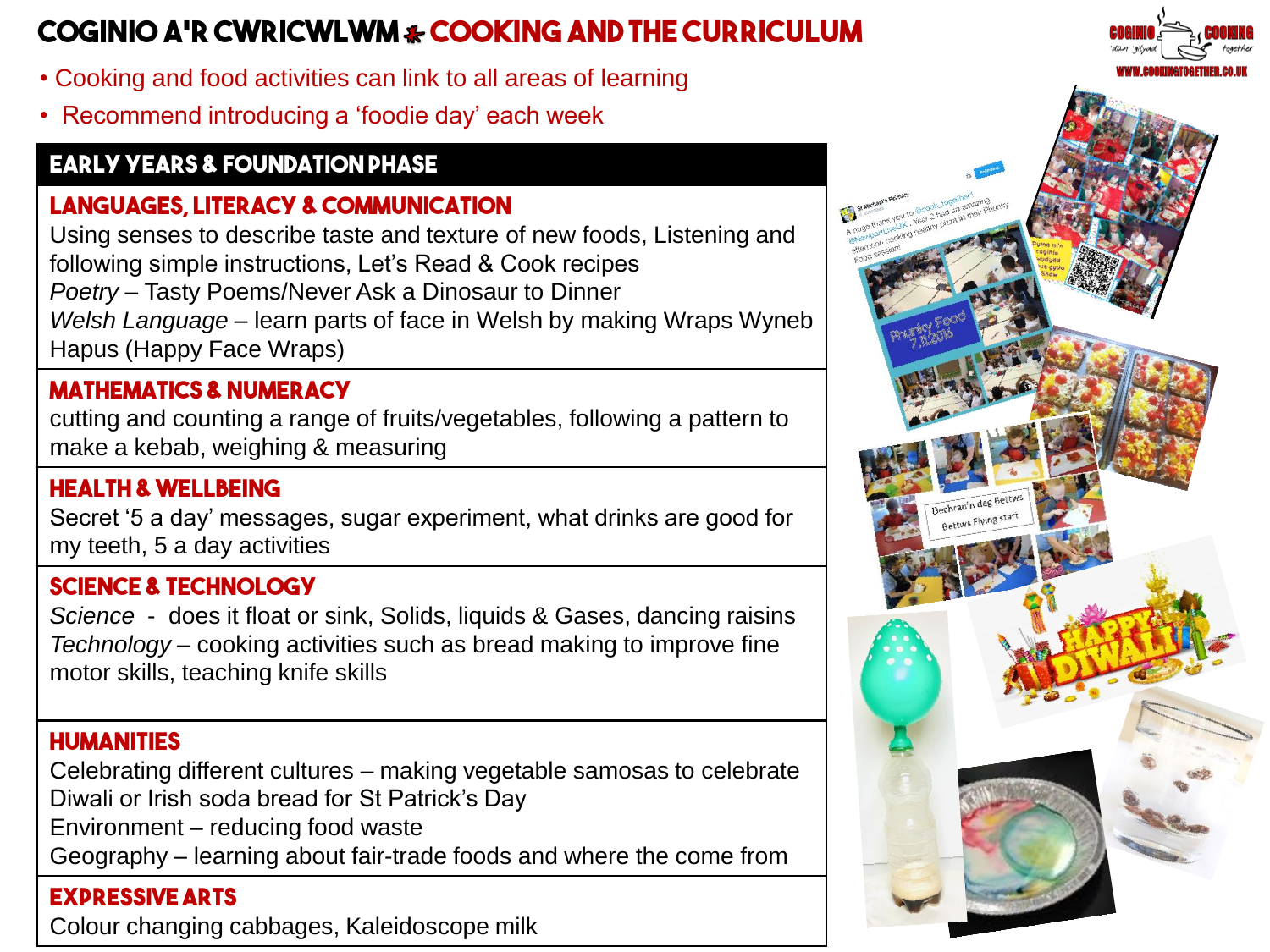# **Coginio a'r cwricwlwm cooking and the curriculum**

- Cooking and food activities can link to all areas of learning
- Recommend introducing a 'foodie day' each week

# **Early Years & Foundation Phase**

# **Languages, Literacy & Communication**

Using senses to describe taste and texture of new foods, Listening and following simple instructions, Let's Read & Cook recipes *Poetry* – Tasty Poems/Never Ask a Dinosaur to Dinner *Welsh Language* – learn parts of face in Welsh by making Wraps Wyneb Hapus (Happy Face Wraps)

## **Mathematics & Numeracy**

cutting and counting a range of fruits/vegetables, following a pattern to make a kebab, weighing & measuring

#### **Health & Wellbeing**

Secret '5 a day' messages, sugar experiment, what drinks are good for my teeth, 5 a day activities

#### **Science & Technology**

*Science* - does it float or sink, Solids, liquids & Gases, dancing raisins *Technology* – cooking activities such as bread making to improve fine motor skills, teaching knife skills

## **Humanities**

Celebrating different cultures – making vegetable samosas to celebrate Diwali or Irish soda bread for St Patrick's Day

Environment – reducing food waste

Geography – learning about fair-trade foods and where the come from

#### **Expressive Arts**

Colour changing cabbages, Kaleidoscope milk

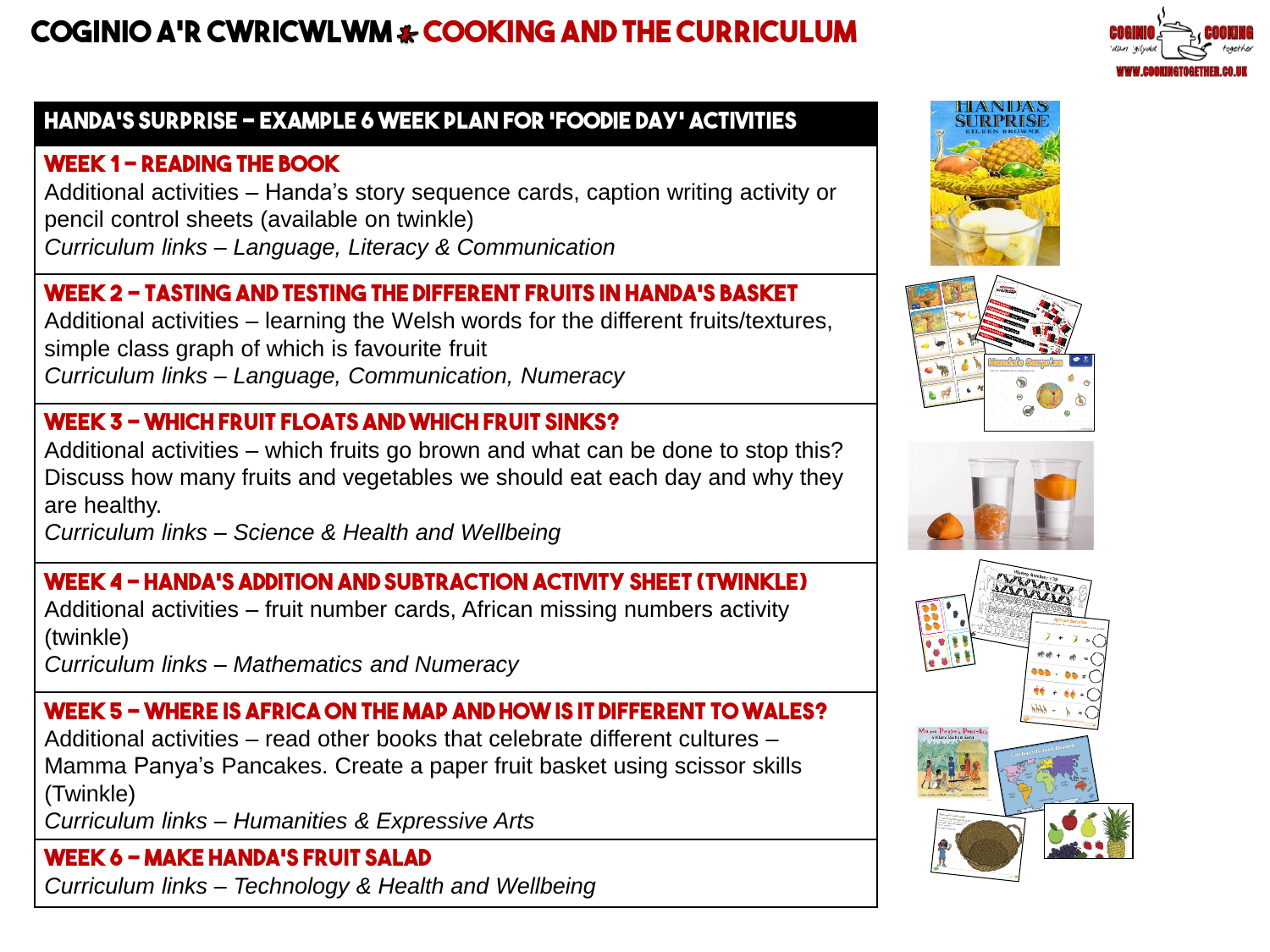# **Coginio a'r cwricwlwm cooking and the curriculum**



# **Handa's Surprise – example 6 week plan for 'foodie day' activities**

## **Week 1 – Reading the book**

Additional activities – Handa's story sequence cards, caption writing activity or pencil control sheets (available on twinkle) *Curriculum links – Language, Literacy & Communication*

## **Week 2 – Tasting and testing the different fruits in Handa's Basket**

Additional activities – learning the Welsh words for the different fruits/textures, simple class graph of which is favourite fruit *Curriculum links – Language, Communication, Numeracy* 

# **Week 3 – Which fruit floats and which fruit sinks?**

Additional activities – which fruits go brown and what can be done to stop this? Discuss how many fruits and vegetables we should eat each day and why they are healthy.

*Curriculum links – Science & Health and Wellbeing* 

## **Week 4 – Handa's addition and subtraction activity sheet (Twinkle)**

Additional activities – fruit number cards, African missing numbers activity (twinkle)

*Curriculum links – Mathematics and Numeracy*

# **Week 5 – Where is Africa on the map and how is it different to Wales?**

Additional activities – read other books that celebrate different cultures – Mamma Panya's Pancakes. Create a paper fruit basket using scissor skills (Twinkle)

*Curriculum links – Humanities & Expressive Arts* 

**Week 6 – Make Handa's Fruit Salad**  *Curriculum links – Technology & Health and Wellbeing*